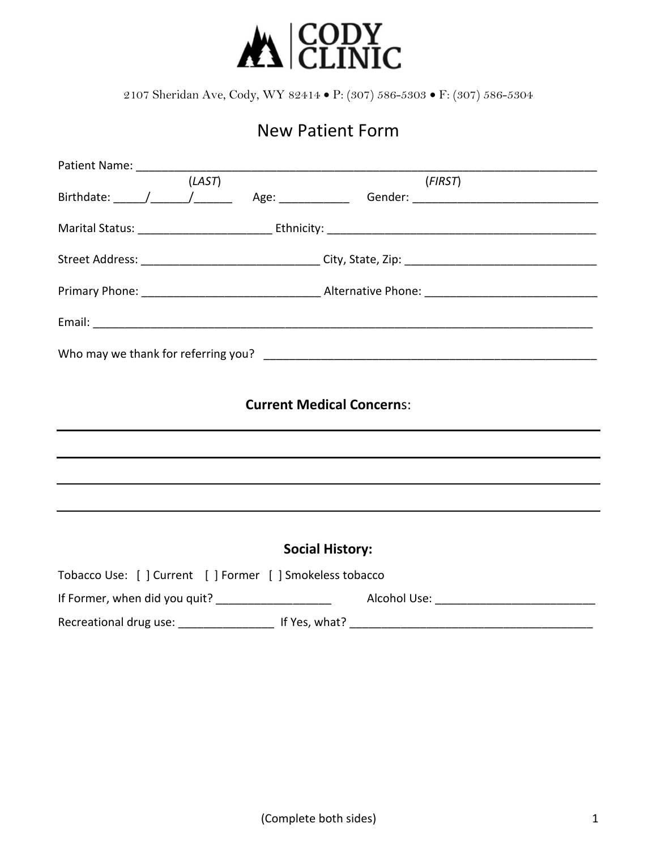

# New Patient Form

|                                                           | (LAST) |                        | (FIRST) |  |  |
|-----------------------------------------------------------|--------|------------------------|---------|--|--|
|                                                           |        |                        |         |  |  |
|                                                           |        |                        |         |  |  |
|                                                           |        |                        |         |  |  |
|                                                           |        |                        |         |  |  |
|                                                           |        |                        |         |  |  |
|                                                           |        |                        |         |  |  |
|                                                           |        |                        |         |  |  |
| <b>Current Medical Concerns:</b>                          |        |                        |         |  |  |
|                                                           |        |                        |         |  |  |
|                                                           |        |                        |         |  |  |
|                                                           |        |                        |         |  |  |
|                                                           |        |                        |         |  |  |
|                                                           |        | <b>Social History:</b> |         |  |  |
| Tobacco Use: [ ] Current [ ] Former [ ] Smokeless tobacco |        |                        |         |  |  |
|                                                           |        |                        |         |  |  |
|                                                           |        |                        |         |  |  |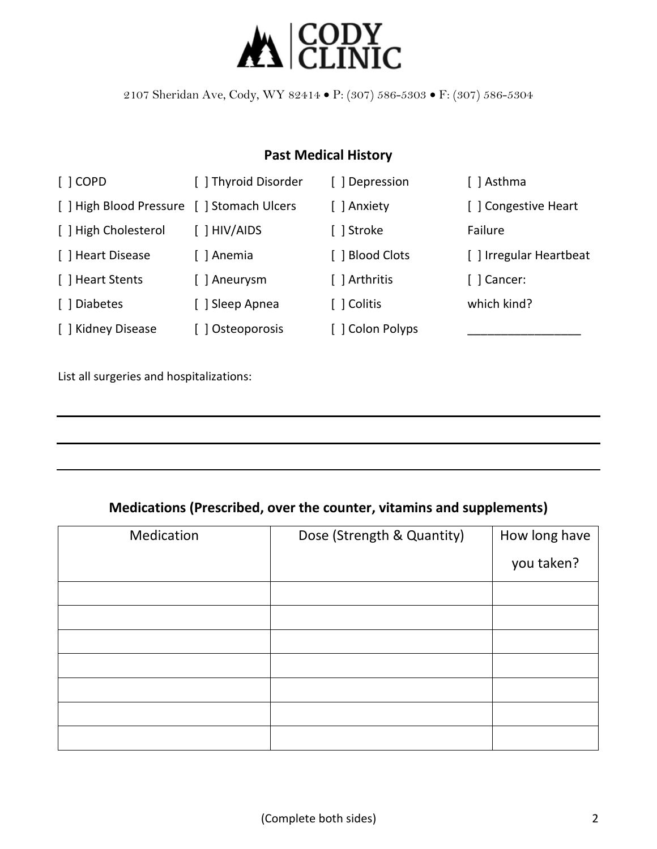

### **Past Medical History**

| $\lceil$ $\rfloor$ COPD                    | [ ] Thyroid Disorder       | [ ] Depression   | [ ] Asthma              |
|--------------------------------------------|----------------------------|------------------|-------------------------|
| [ ] High Blood Pressure [ ] Stomach Ulcers |                            | [ ] Anxiety      | [ ] Congestive Heart    |
| [ ] High Cholesterol                       | $\lceil$ $\rceil$ HIV/AIDS | [ ] Stroke       | Failure                 |
| [ ] Heart Disease                          | [ ] Anemia                 | [ ] Blood Clots  | [ ] Irregular Heartbeat |
| [ ] Heart Stents                           | [] Aneurysm                | [ ] Arthritis    | [ ] Cancer:             |
| [ ] Diabetes                               | [] Sleep Apnea             | [ ] Colitis      | which kind?             |
| [ ] Kidney Disease                         | Osteoporosis               | [ ] Colon Polyps |                         |

List all surgeries and hospitalizations:

#### **Medications (Prescribed, over the counter, vitamins and supplements)**

| Medication | Dose (Strength & Quantity) | How long have |
|------------|----------------------------|---------------|
|            |                            | you taken?    |
|            |                            |               |
|            |                            |               |
|            |                            |               |
|            |                            |               |
|            |                            |               |
|            |                            |               |
|            |                            |               |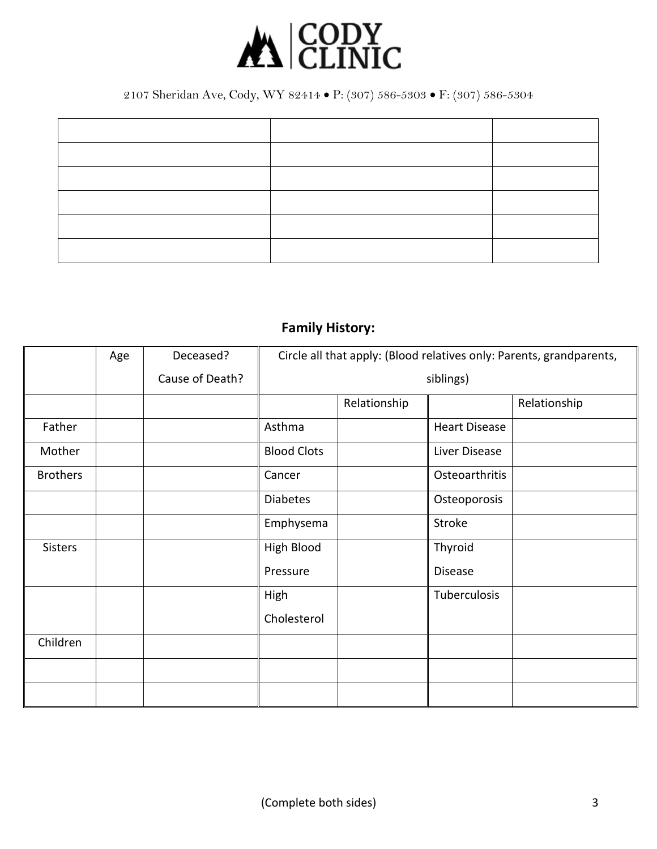

# **Family History:**

|                 | Age | Deceased?       | Circle all that apply: (Blood relatives only: Parents, grandparents, |              |                      |              |
|-----------------|-----|-----------------|----------------------------------------------------------------------|--------------|----------------------|--------------|
|                 |     | Cause of Death? | siblings)                                                            |              |                      |              |
|                 |     |                 |                                                                      | Relationship |                      | Relationship |
| Father          |     |                 | Asthma                                                               |              | <b>Heart Disease</b> |              |
| Mother          |     |                 | <b>Blood Clots</b>                                                   |              | Liver Disease        |              |
| <b>Brothers</b> |     |                 | Cancer                                                               |              | Osteoarthritis       |              |
|                 |     |                 | <b>Diabetes</b>                                                      |              | Osteoporosis         |              |
|                 |     |                 | Emphysema                                                            |              | Stroke               |              |
| <b>Sisters</b>  |     |                 | High Blood                                                           |              | Thyroid              |              |
|                 |     |                 | Pressure                                                             |              | Disease              |              |
|                 |     |                 | High                                                                 |              | Tuberculosis         |              |
|                 |     |                 | Cholesterol                                                          |              |                      |              |
| Children        |     |                 |                                                                      |              |                      |              |
|                 |     |                 |                                                                      |              |                      |              |
|                 |     |                 |                                                                      |              |                      |              |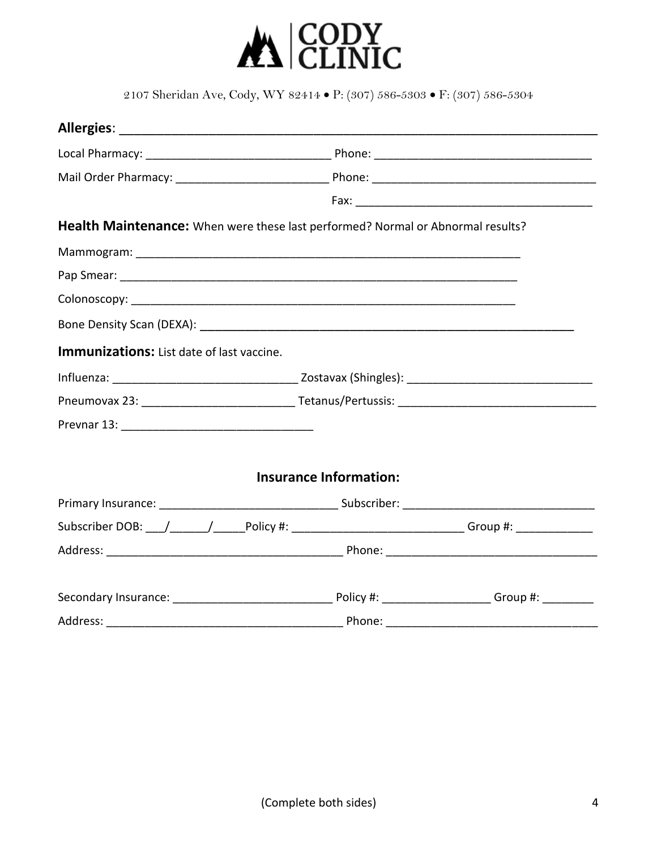

|                                           | Health Maintenance: When were these last performed? Normal or Abnormal results?            |  |
|-------------------------------------------|--------------------------------------------------------------------------------------------|--|
|                                           |                                                                                            |  |
|                                           |                                                                                            |  |
|                                           |                                                                                            |  |
|                                           |                                                                                            |  |
| Immunizations: List date of last vaccine. |                                                                                            |  |
|                                           |                                                                                            |  |
|                                           |                                                                                            |  |
|                                           |                                                                                            |  |
|                                           |                                                                                            |  |
|                                           | <b>Insurance Information:</b>                                                              |  |
|                                           |                                                                                            |  |
|                                           | Subscriber DOB: // // Policy #: // // Policy #: // // Croup #: // Group #: /// Croup #: // |  |
|                                           |                                                                                            |  |
|                                           |                                                                                            |  |
| Address: _                                |                                                                                            |  |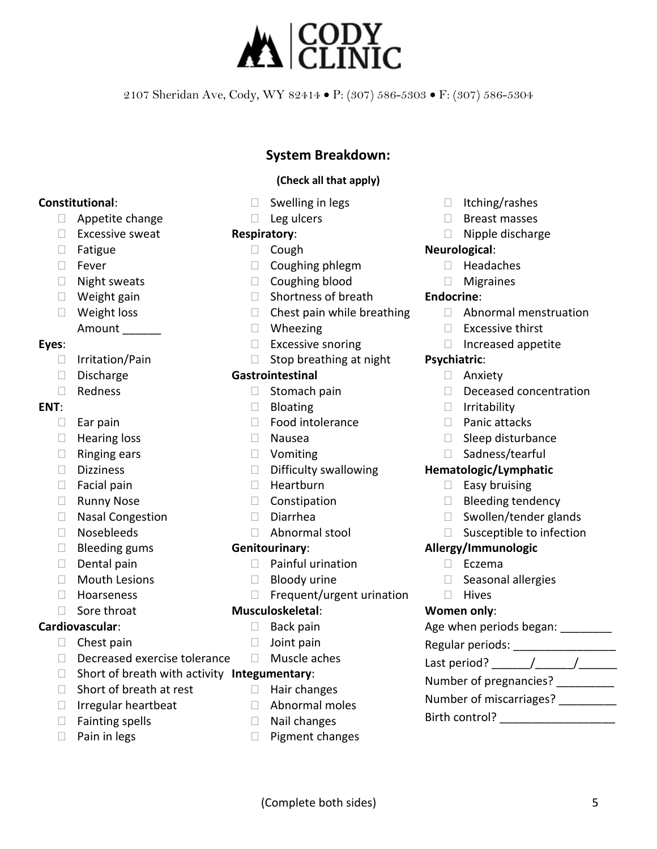

#### **System Breakdown:**

#### **(Check all that apply)**

- Swelling in legs
- Leg ulcers

#### **Respiratory**:

- Cough
- Coughing phlegm
- Coughing blood
- Shortness of breath
- Chest pain while breathing
- Wheezing
- Excessive snoring
- Stop breathing at night

#### **Gastrointestinal**

- Stomach pain
- **Bloating**
- Food intolerance
- Nausea
- Vomiting
- Difficulty swallowing
- Heartburn
- Constipation
- Diarrhea
- Abnormal stool

#### **Genitourinary**:

- Painful urination
- Bloody urine
- Frequent/urgent urination

#### **Musculoskeletal**:

- Back pain
- Joint pain
- Muscle aches

• Hair changes • Abnormal moles • Nail changes • Pigment changes

- Short of breath with activity **Integumentary**:
- Short of breath at rest
- Irregular heartbeat
- Fainting spells
- Pain in legs
- Itching/rashes
- Breast masses
- Nipple discharge

#### **Neurological**:

• Headaches

#### **Migraines**

#### **Endocrine**:

- Abnormal menstruation
- **Excessive thirst**
- Increased appetite

#### **Psychiatric**:

- Anxiety
- Deceased concentration
- Irritability
- Panic attacks
- Sleep disturbance
- Sadness/tearful

#### **Hematologic/Lymphatic**

- Easy bruising
- Bleeding tendency
- Swollen/tender glands
- Susceptible to infection

#### **Allergy/Immunologic**

- Eczema
- Seasonal allergies
- Hives

#### **Women only**:

Age when periods began: \_\_\_\_\_\_\_\_\_ Regular periods: Last period? \_\_\_\_\_\_/ \_\_\_\_\_\_/ \_\_\_\_\_\_\_ Number of pregnancies? \_\_\_\_\_\_\_\_\_\_ Number of miscarriages? \_\_\_\_\_\_\_\_\_

Birth control? \_\_\_\_\_\_\_\_\_\_\_\_\_\_\_\_\_\_

## **Constitutional**:

- Appetite change
- **Excessive sweat**
- Fatigue
- Fever
- Night sweats
- Weight gain
- Weight loss Amount

#### **Eyes**:

- Irritation/Pain
- Discharge
- Redness

#### **ENT**:

- Ear pain
- Hearing loss
- Ringing ears
- Dizziness
- Facial pain
- Runny Nose
- Nasal Congestion
- Nosebleeds
- Bleeding gums
- Dental pain
- Mouth Lesions
- Hoarseness
- Sore throat

#### **Cardiovascular**:

- Chest pain
- Decreased exercise tolerance